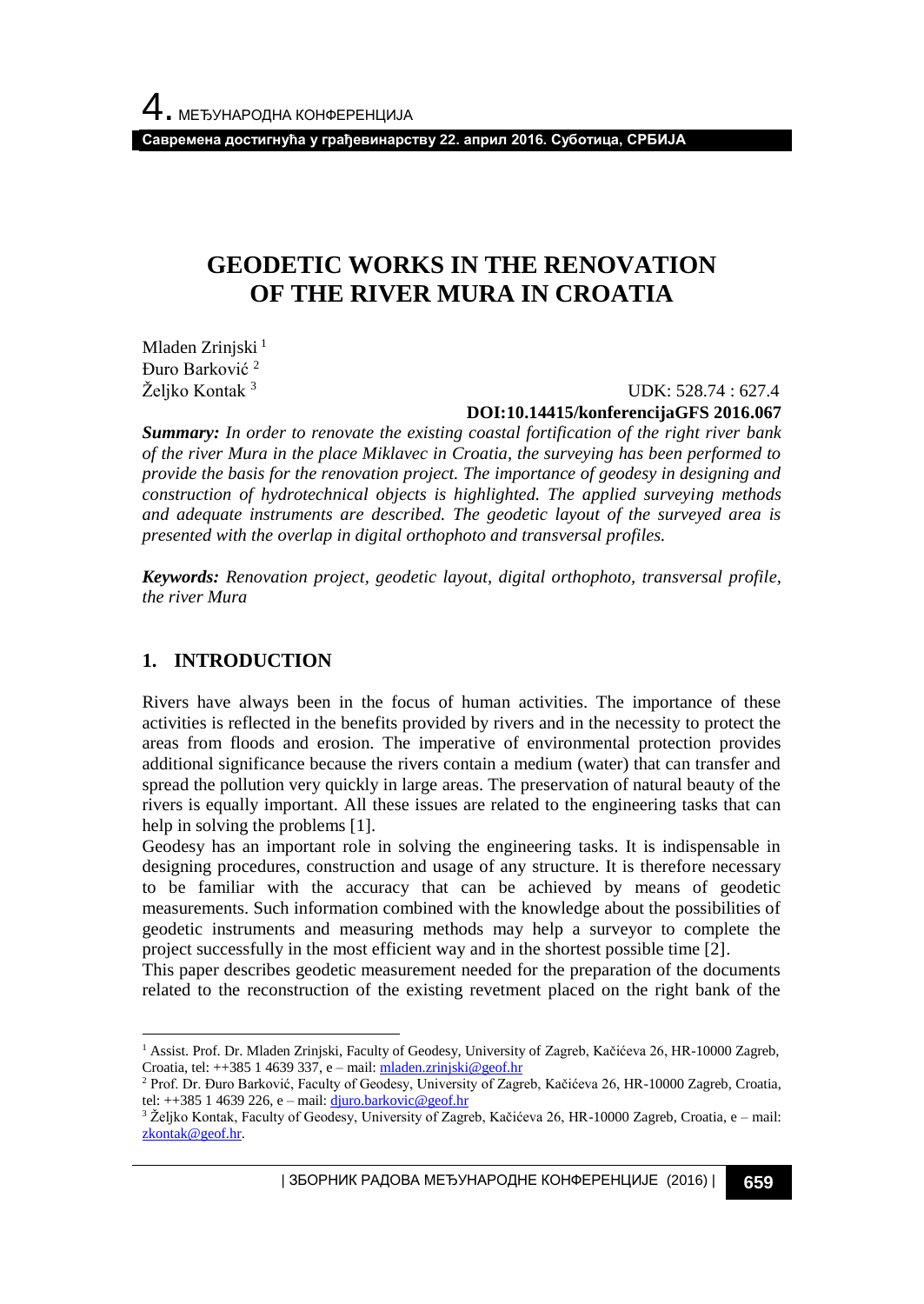**Савремена достигнућа у грађевинарству 22. април 2016. Суботица, СРБИЈА**

# **GEODETIC WORKS IN THE RENOVATION OF THE RIVER MURA IN CROATIA**

Mladen Zrinjski<sup>1</sup> Đuro Barković <sup>2</sup> Željko Kontak<sup>3</sup>

 UDK: 528.74 : 627.4 **DOI:10.14415/konferencijaGFS 2016.067**

*Summary: In order to renovate the existing coastal fortification of the right river bank of the river Mura in the place Miklavec in Croatia, the surveying has been performed to provide the basis for the renovation project. The importance of geodesy in designing and construction of hydrotechnical objects is highlighted. The applied surveying methods and adequate instruments are described. The geodetic layout of the surveyed area is presented with the overlap in digital orthophoto and transversal profiles.*

*Keywords: Renovation project, geodetic layout, digital orthophoto, transversal profile, the river Mura*

## **1. INTRODUCTION**

l

Rivers have always been in the focus of human activities. The importance of these activities is reflected in the benefits provided by rivers and in the necessity to protect the areas from floods and erosion. The imperative of environmental protection provides additional significance because the rivers contain a medium (water) that can transfer and spread the pollution very quickly in large areas. The preservation of natural beauty of the rivers is equally important. All these issues are related to the engineering tasks that can help in solving the problems [1].

Geodesy has an important role in solving the engineering tasks. It is indispensable in designing procedures, construction and usage of any structure. It is therefore necessary to be familiar with the accuracy that can be achieved by means of geodetic measurements. Such information combined with the knowledge about the possibilities of geodetic instruments and measuring methods may help a surveyor to complete the project successfully in the most efficient way and in the shortest possible time [2].

This paper describes geodetic measurement needed for the preparation of the documents related to the reconstruction of the existing revetment placed on the right bank of the

<sup>&</sup>lt;sup>1</sup> Assist. Prof. Dr. Mladen Zrinjski, Faculty of Geodesy, University of Zagreb, Kačićeva 26, HR-10000 Zagreb, Croatia, tel:  $++385$  1 4639 337, e – mail[: mladen.zrinjski@geof.hr](mailto:mladen.zrinjski@geof.hr)

<sup>2</sup> Prof. Dr. Đuro Barković, Faculty of Geodesy, University of Zagreb, Kačićeva 26, HR-10000 Zagreb, Croatia, tel:  $++385$  1 4639 226, e – mail[: djuro.barkovic@geof.hr](mailto:djuro.barkovic@geof.hr)

<sup>3</sup> Željko Kontak, Faculty of Geodesy, University of Zagreb, Kačićeva 26, HR-10000 Zagreb, Croatia, e – mail: [zkontak@geof.hr.](mailto:zkontak@geof.hr)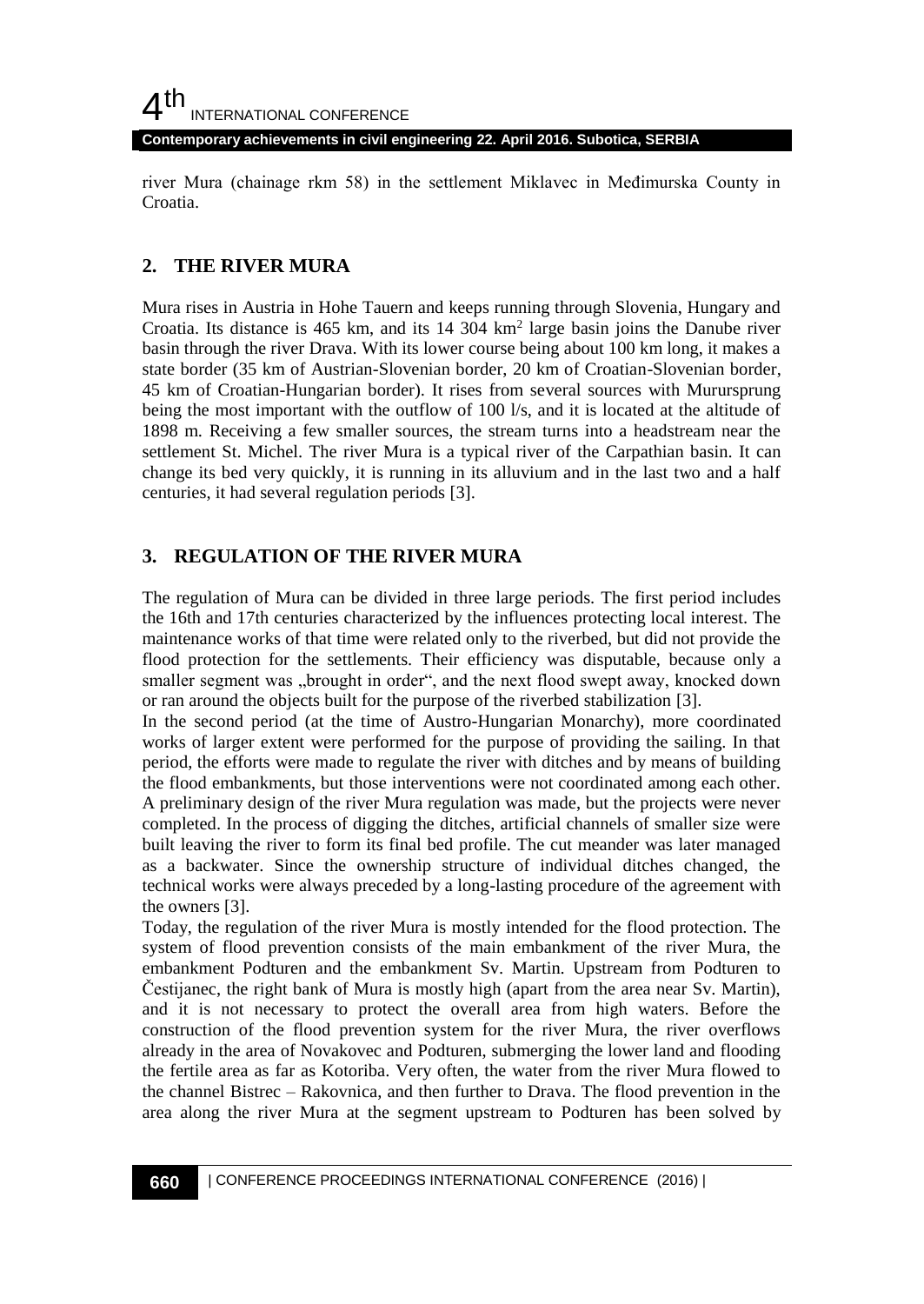**Contemporary achievements in civil engineering 22. April 2016. Subotica, SERBIA**

river Mura (chainage rkm 58) in the settlement Miklavec in Međimurska County in Croatia.

# **2. THE RIVER MURA**

Mura rises in Austria in Hohe Tauern and keeps running through Slovenia, Hungary and Croatia. Its distance is  $465$  km, and its  $14$   $304$  km<sup>2</sup> large basin joins the Danube river basin through the river Drava. With its lower course being about 100 km long, it makes a state border (35 km of Austrian-Slovenian border, 20 km of Croatian-Slovenian border, 45 km of Croatian-Hungarian border). It rises from several sources with Murursprung being the most important with the outflow of 100 l/s, and it is located at the altitude of 1898 m. Receiving a few smaller sources, the stream turns into a headstream near the settlement St. Michel. The river Mura is a typical river of the Carpathian basin. It can change its bed very quickly, it is running in its alluvium and in the last two and a half centuries, it had several regulation periods [3].

# **3. REGULATION OF THE RIVER MURA**

The regulation of Mura can be divided in three large periods. The first period includes the 16th and 17th centuries characterized by the influences protecting local interest. The maintenance works of that time were related only to the riverbed, but did not provide the flood protection for the settlements. Their efficiency was disputable, because only a smaller segment was "brought in order", and the next flood swept away, knocked down or ran around the objects built for the purpose of the riverbed stabilization [3].

In the second period (at the time of Austro-Hungarian Monarchy), more coordinated works of larger extent were performed for the purpose of providing the sailing. In that period, the efforts were made to regulate the river with ditches and by means of building the flood embankments, but those interventions were not coordinated among each other. A preliminary design of the river Mura regulation was made, but the projects were never completed. In the process of digging the ditches, artificial channels of smaller size were built leaving the river to form its final bed profile. The cut meander was later managed as a backwater. Since the ownership structure of individual ditches changed, the technical works were always preceded by a long-lasting procedure of the agreement with the owners [3].

Today, the regulation of the river Mura is mostly intended for the flood protection. The system of flood prevention consists of the main embankment of the river Mura, the embankment Podturen and the embankment Sv. Martin. Upstream from Podturen to Čestijanec, the right bank of Mura is mostly high (apart from the area near Sv. Martin), and it is not necessary to protect the overall area from high waters. Before the construction of the flood prevention system for the river Mura, the river overflows already in the area of Novakovec and Podturen, submerging the lower land and flooding the fertile area as far as Kotoriba. Very often, the water from the river Mura flowed to the channel Bistrec – Rakovnica, and then further to Drava. The flood prevention in the area along the river Mura at the segment upstream to Podturen has been solved by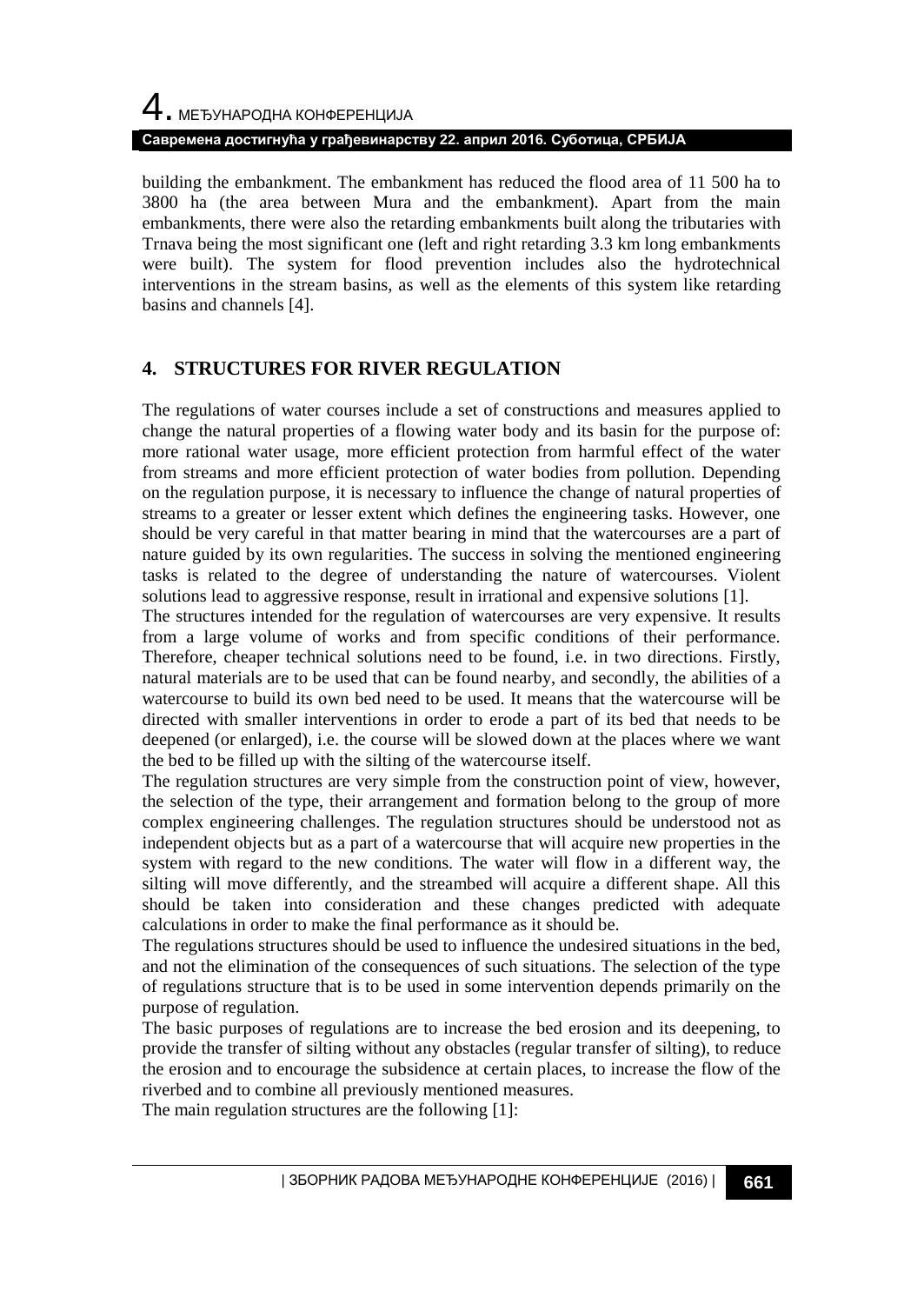# 4. МЕЂУНАРОДНА КОНФЕРЕНЦИЈА **Савремена достигнућа у грађевинарству 22. април 2016. Суботица, СРБИЈА**

building the embankment. The embankment has reduced the flood area of 11 500 ha to 3800 ha (the area between Mura and the embankment). Apart from the main embankments, there were also the retarding embankments built along the tributaries with Trnava being the most significant one (left and right retarding 3.3 km long embankments were built). The system for flood prevention includes also the hydrotechnical interventions in the stream basins, as well as the elements of this system like retarding basins and channels [4].

# **4. STRUCTURES FOR RIVER REGULATION**

The regulations of water courses include a set of constructions and measures applied to change the natural properties of a flowing water body and its basin for the purpose of: more rational water usage, more efficient protection from harmful effect of the water from streams and more efficient protection of water bodies from pollution. Depending on the regulation purpose, it is necessary to influence the change of natural properties of streams to a greater or lesser extent which defines the engineering tasks. However, one should be very careful in that matter bearing in mind that the watercourses are a part of nature guided by its own regularities. The success in solving the mentioned engineering tasks is related to the degree of understanding the nature of watercourses. Violent solutions lead to aggressive response, result in irrational and expensive solutions [1].

The structures intended for the regulation of watercourses are very expensive. It results from a large volume of works and from specific conditions of their performance. Therefore, cheaper technical solutions need to be found, i.e. in two directions. Firstly, natural materials are to be used that can be found nearby, and secondly, the abilities of a watercourse to build its own bed need to be used. It means that the watercourse will be directed with smaller interventions in order to erode a part of its bed that needs to be deepened (or enlarged), i.e. the course will be slowed down at the places where we want the bed to be filled up with the silting of the watercourse itself.

The regulation structures are very simple from the construction point of view, however, the selection of the type, their arrangement and formation belong to the group of more complex engineering challenges. The regulation structures should be understood not as independent objects but as a part of a watercourse that will acquire new properties in the system with regard to the new conditions. The water will flow in a different way, the silting will move differently, and the streambed will acquire a different shape. All this should be taken into consideration and these changes predicted with adequate calculations in order to make the final performance as it should be.

The regulations structures should be used to influence the undesired situations in the bed, and not the elimination of the consequences of such situations. The selection of the type of regulations structure that is to be used in some intervention depends primarily on the purpose of regulation.

The basic purposes of regulations are to increase the bed erosion and its deepening, to provide the transfer of silting without any obstacles (regular transfer of silting), to reduce the erosion and to encourage the subsidence at certain places, to increase the flow of the riverbed and to combine all previously mentioned measures.

The main regulation structures are the following [1]: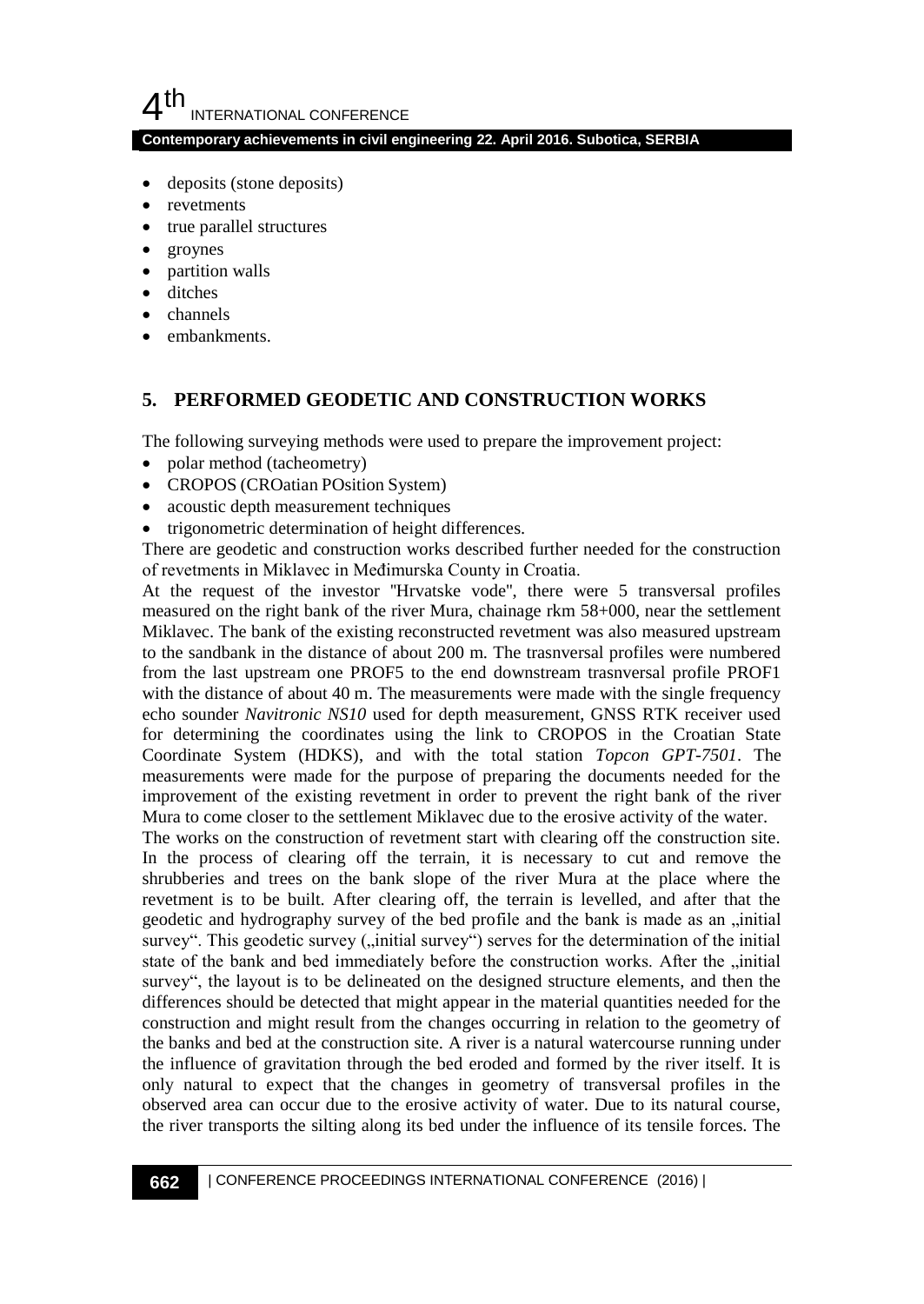**Contemporary achievements in civil engineering 22. April 2016. Subotica, SERBIA**

- deposits (stone deposits)
- revetments
- true parallel structures
- groynes
- partition walls
- ditches
- channels
- embankments.

# **5. PERFORMED GEODETIC AND CONSTRUCTION WORKS**

The following surveying methods were used to prepare the improvement project:

- polar method (tacheometry)
- CROPOS (CROatian POsition System)
- acoustic depth measurement techniques
- trigonometric determination of height differences.

There are geodetic and construction works described further needed for the construction of revetments in Miklavec in Međimurska County in Croatia.

At the request of the investor ''Hrvatske vode'', there were 5 transversal profiles measured on the right bank of the river Mura, chainage rkm 58+000, near the settlement Miklavec. The bank of the existing reconstructed revetment was also measured upstream to the sandbank in the distance of about 200 m. The trasnversal profiles were numbered from the last upstream one PROF5 to the end downstream trasnversal profile PROF1 with the distance of about 40 m. The measurements were made with the single frequency echo sounder *Navitronic NS10* used for depth measurement, GNSS RTK receiver used for determining the coordinates using the link to CROPOS in the Croatian State Coordinate System (HDKS), and with the total station *Topcon GPT-7501*. The measurements were made for the purpose of preparing the documents needed for the improvement of the existing revetment in order to prevent the right bank of the river Mura to come closer to the settlement Miklavec due to the erosive activity of the water.

The works on the construction of revetment start with clearing off the construction site. In the process of clearing off the terrain, it is necessary to cut and remove the shrubberies and trees on the bank slope of the river Mura at the place where the revetment is to be built. After clearing off, the terrain is levelled, and after that the geodetic and hydrography survey of the bed profile and the bank is made as an , initial survey". This geodetic survey ("initial survey") serves for the determination of the initial state of the bank and bed immediately before the construction works. After the  $\mu$ , initial survey", the layout is to be delineated on the designed structure elements, and then the differences should be detected that might appear in the material quantities needed for the construction and might result from the changes occurring in relation to the geometry of the banks and bed at the construction site. A river is a natural watercourse running under the influence of gravitation through the bed eroded and formed by the river itself. It is only natural to expect that the changes in geometry of transversal profiles in the observed area can occur due to the erosive activity of water. Due to its natural course, the river transports the silting along its bed under the influence of its tensile forces. The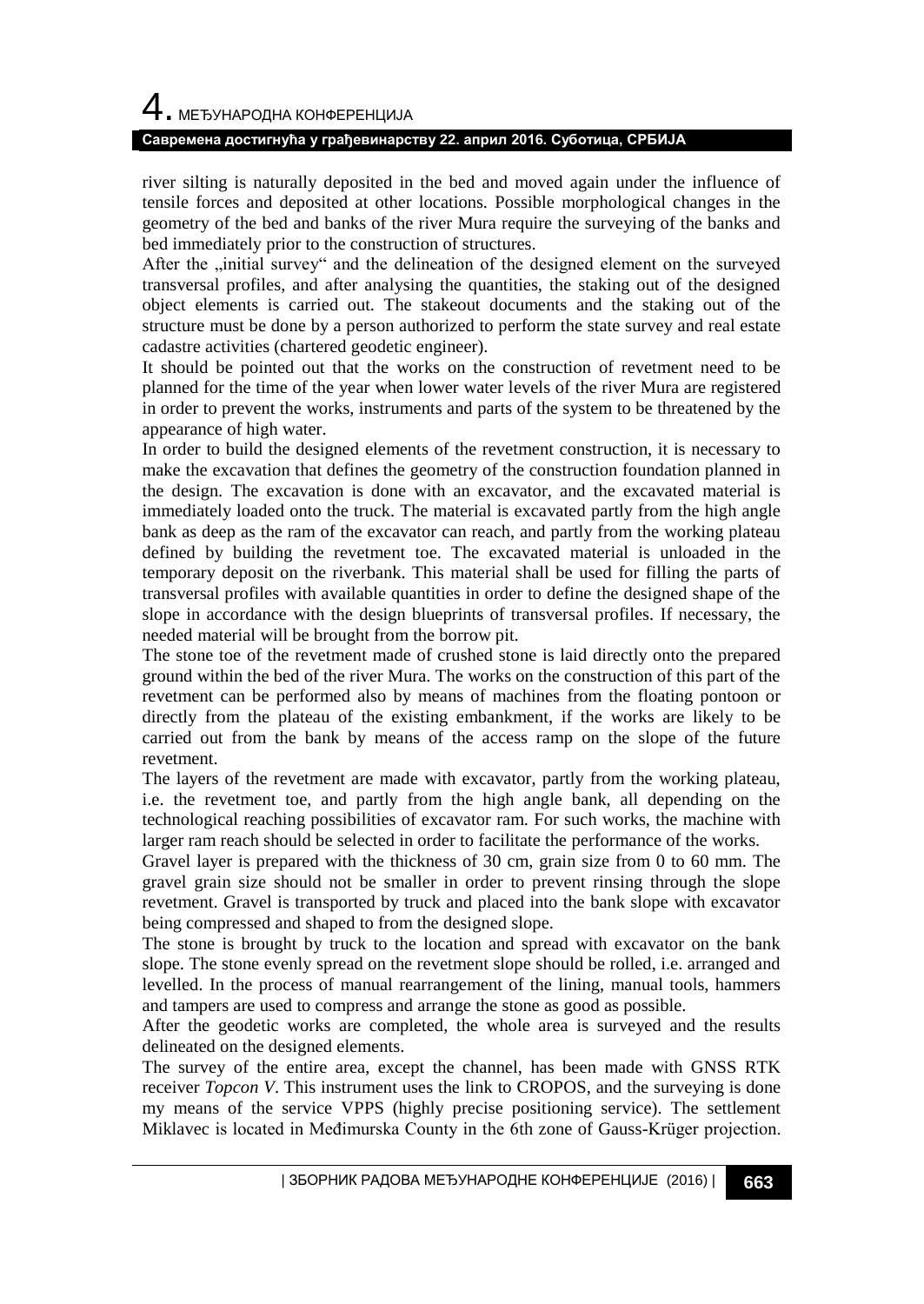# 4. МЕЂУНАРОДНА КОНФЕРЕНЦИЈА

#### **Савремена достигнућа у грађевинарству 22. април 2016. Суботица, СРБИЈА**

river silting is naturally deposited in the bed and moved again under the influence of tensile forces and deposited at other locations. Possible morphological changes in the geometry of the bed and banks of the river Mura require the surveying of the banks and bed immediately prior to the construction of structures.

After the "initial survey" and the delineation of the designed element on the surveyed transversal profiles, and after analysing the quantities, the staking out of the designed object elements is carried out. The stakeout documents and the staking out of the structure must be done by a person authorized to perform the state survey and real estate cadastre activities (chartered geodetic engineer).

It should be pointed out that the works on the construction of revetment need to be planned for the time of the year when lower water levels of the river Mura are registered in order to prevent the works, instruments and parts of the system to be threatened by the appearance of high water.

In order to build the designed elements of the revetment construction, it is necessary to make the excavation that defines the geometry of the construction foundation planned in the design. The excavation is done with an excavator, and the excavated material is immediately loaded onto the truck. The material is excavated partly from the high angle bank as deep as the ram of the excavator can reach, and partly from the working plateau defined by building the revetment toe. The excavated material is unloaded in the temporary deposit on the riverbank. This material shall be used for filling the parts of transversal profiles with available quantities in order to define the designed shape of the slope in accordance with the design blueprints of transversal profiles. If necessary, the needed material will be brought from the borrow pit.

The stone toe of the revetment made of crushed stone is laid directly onto the prepared ground within the bed of the river Mura. The works on the construction of this part of the revetment can be performed also by means of machines from the floating pontoon or directly from the plateau of the existing embankment, if the works are likely to be carried out from the bank by means of the access ramp on the slope of the future revetment.

The layers of the revetment are made with excavator, partly from the working plateau, i.e. the revetment toe, and partly from the high angle bank, all depending on the technological reaching possibilities of excavator ram. For such works, the machine with larger ram reach should be selected in order to facilitate the performance of the works.

Gravel layer is prepared with the thickness of 30 cm, grain size from 0 to 60 mm. The gravel grain size should not be smaller in order to prevent rinsing through the slope revetment. Gravel is transported by truck and placed into the bank slope with excavator being compressed and shaped to from the designed slope.

The stone is brought by truck to the location and spread with excavator on the bank slope. The stone evenly spread on the revetment slope should be rolled, i.e. arranged and levelled. In the process of manual rearrangement of the lining, manual tools, hammers and tampers are used to compress and arrange the stone as good as possible.

After the geodetic works are completed, the whole area is surveyed and the results delineated on the designed elements.

The survey of the entire area, except the channel, has been made with GNSS RTK receiver *Topcon V*. This instrument uses the link to CROPOS, and the surveying is done my means of the service VPPS (highly precise positioning service). The settlement Miklavec is located in Međimurska County in the 6th zone of Gauss-Krüger projection.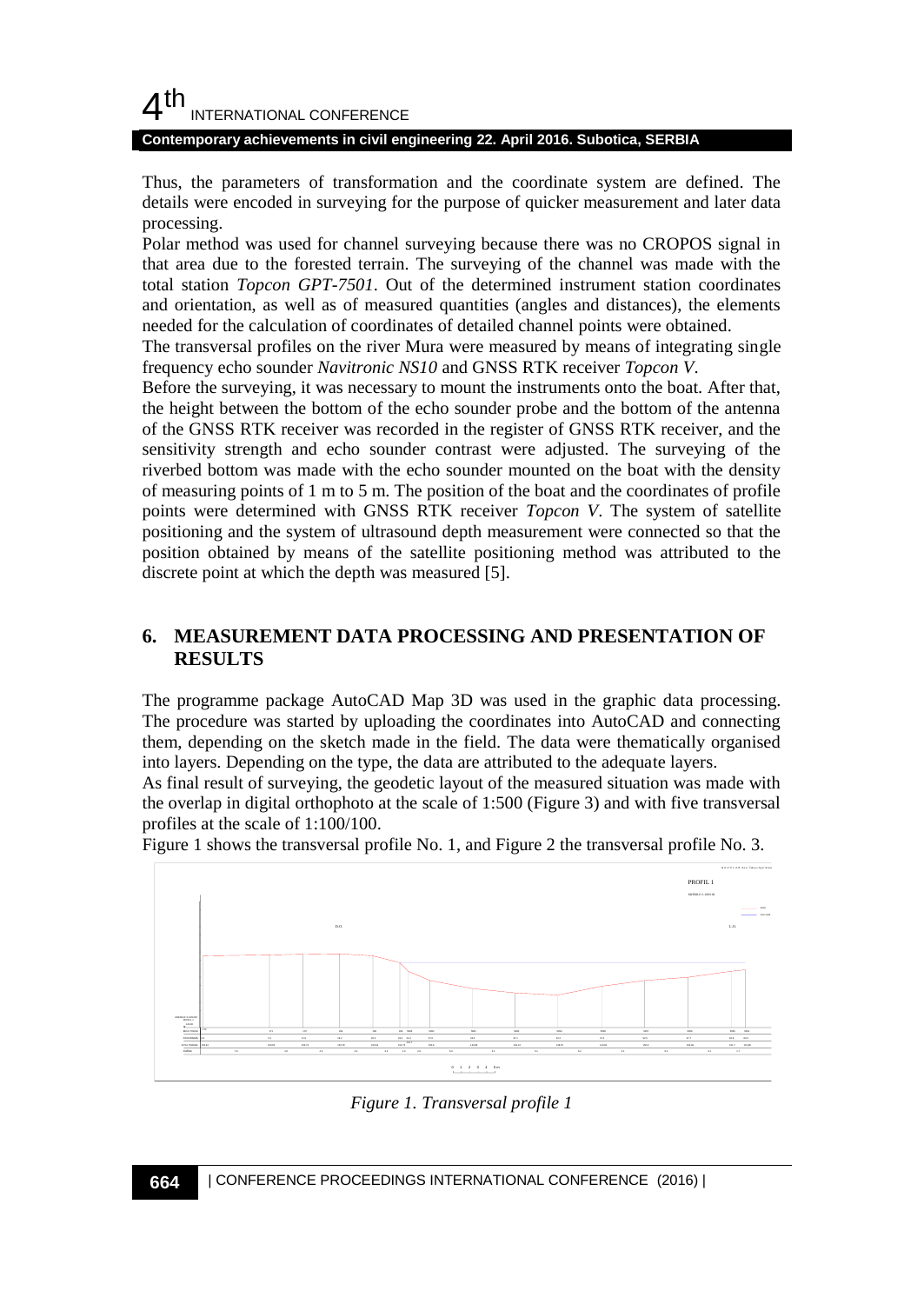#### **Contemporary achievements in civil engineering 22. April 2016. Subotica, SERBIA**

Thus, the parameters of transformation and the coordinate system are defined. The details were encoded in surveying for the purpose of quicker measurement and later data processing.

Polar method was used for channel surveying because there was no CROPOS signal in that area due to the forested terrain. The surveying of the channel was made with the total station *Topcon GPT-7501*. Out of the determined instrument station coordinates and orientation, as well as of measured quantities (angles and distances), the elements needed for the calculation of coordinates of detailed channel points were obtained.

The transversal profiles on the river Mura were measured by means of integrating single frequency echo sounder *Navitronic NS10* and GNSS RTK receiver *Topcon V*.

Before the surveying, it was necessary to mount the instruments onto the boat. After that, the height between the bottom of the echo sounder probe and the bottom of the antenna of the GNSS RTK receiver was recorded in the register of GNSS RTK receiver, and the sensitivity strength and echo sounder contrast were adjusted. The surveying of the riverbed bottom was made with the echo sounder mounted on the boat with the density of measuring points of 1 m to 5 m. The position of the boat and the coordinates of profile points were determined with GNSS RTK receiver *Topcon V*. The system of satellite positioning and the system of ultrasound depth measurement were connected so that the position obtained by means of the satellite positioning method was attributed to the discrete point at which the depth was measured [5].

# **6. MEASUREMENT DATA PROCESSING AND PRESENTATION OF RESULTS**

The programme package AutoCAD Map 3D was used in the graphic data processing. The procedure was started by uploading the coordinates into AutoCAD and connecting them, depending on the sketch made in the field. The data were thematically organised into layers. Depending on the type, the data are attributed to the adequate layers.

As final result of surveying, the geodetic layout of the measured situation was made with the overlap in digital orthophoto at the scale of 1:500 (Figure 3) and with five transversal profiles at the scale of 1:100/100.

Figure 1 shows the transversal profile No. 1, and Figure 2 the transversal profile No. 3.



*Figure 1. Transversal profile 1*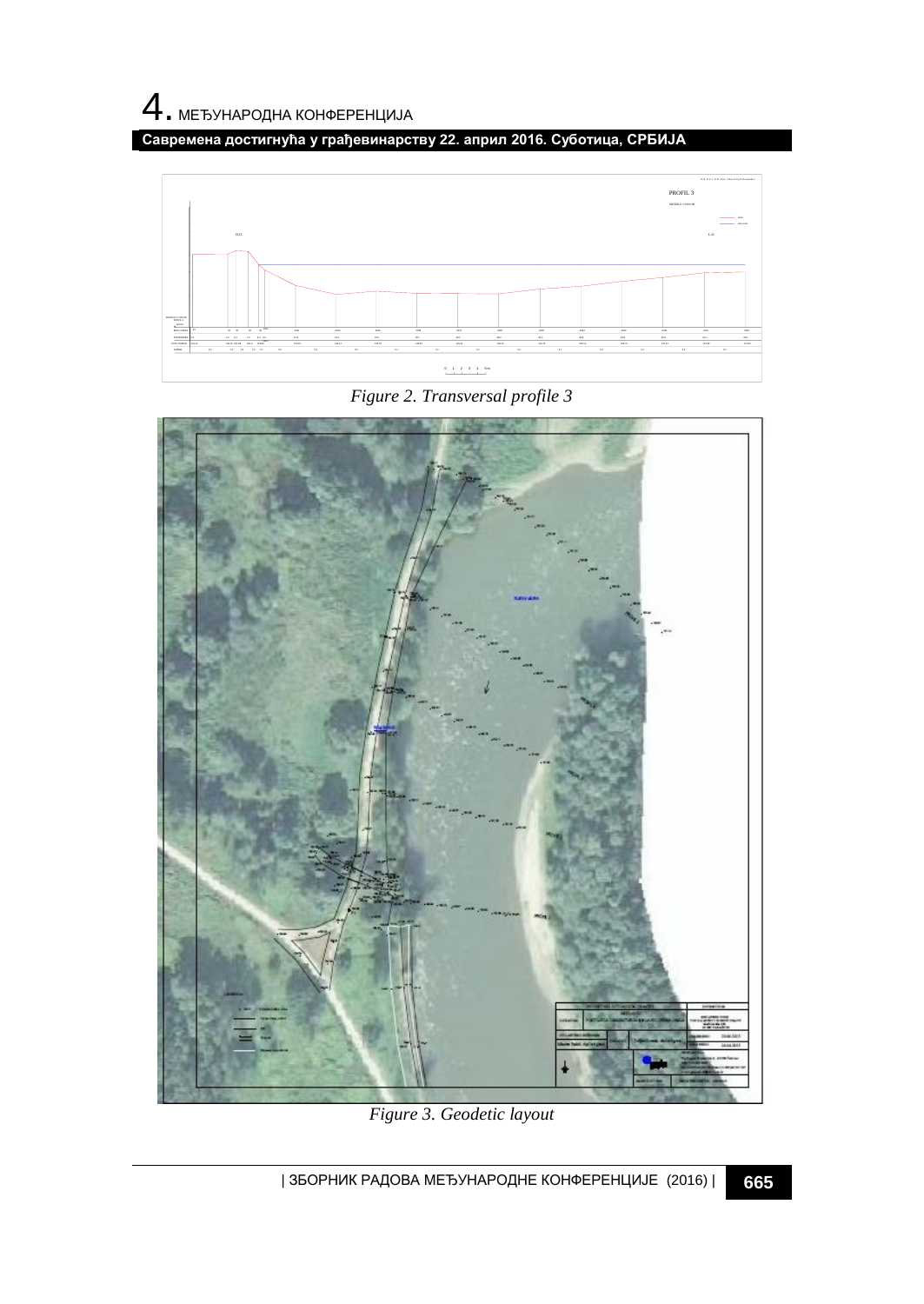**Савремена достигнућа у грађевинарству 22. април 2016. Суботица, СРБИЈА**



*Figure 2. Transversal profile 3*



*Figure 3. Geodetic layout*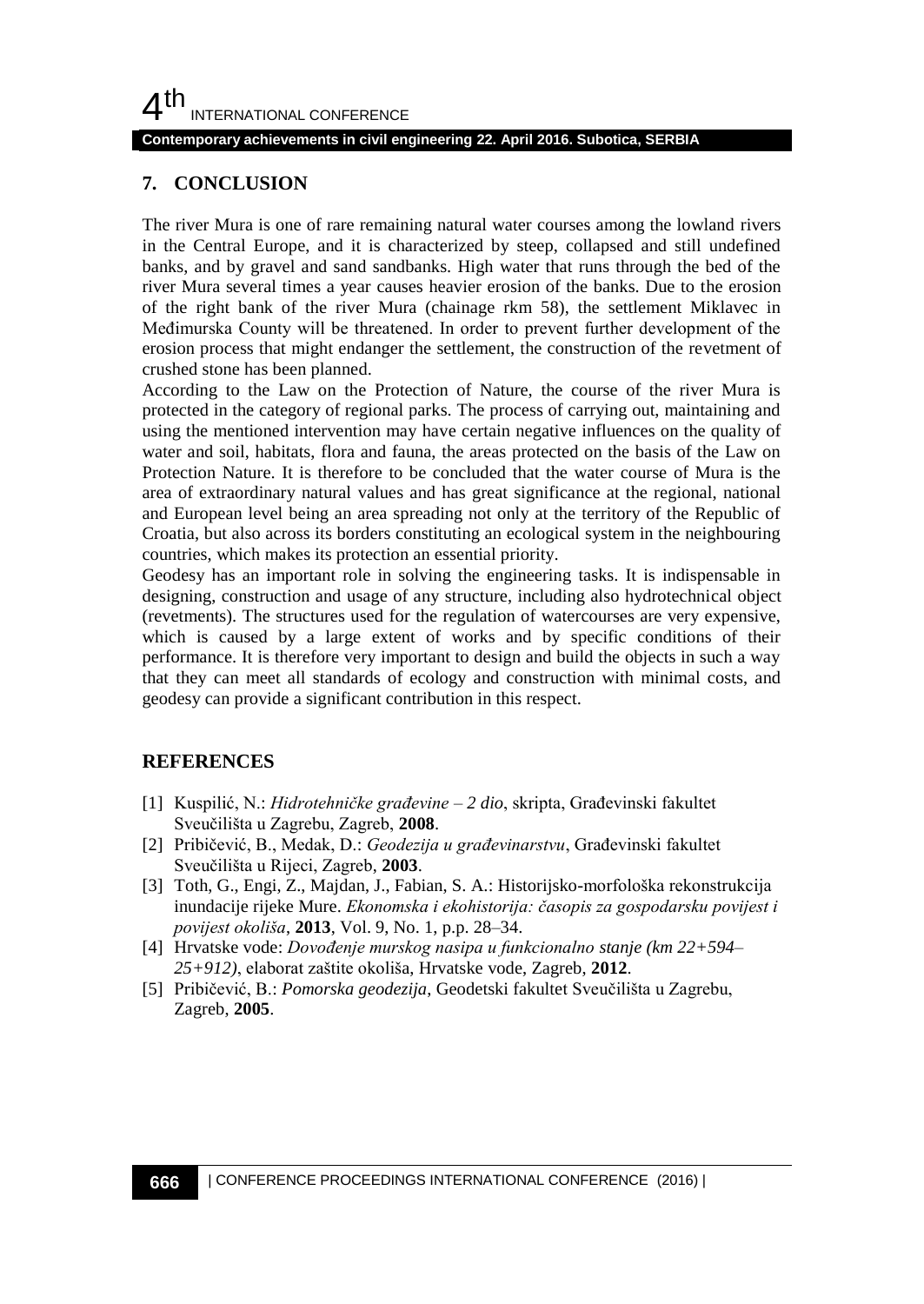#### **Contemporary achievements in civil engineering 22. April 2016. Subotica, SERBIA**

## **7. CONCLUSION**

The river Mura is one of rare remaining natural water courses among the lowland rivers in the Central Europe, and it is characterized by steep, collapsed and still undefined banks, and by gravel and sand sandbanks. High water that runs through the bed of the river Mura several times a year causes heavier erosion of the banks. Due to the erosion of the right bank of the river Mura (chainage rkm 58), the settlement Miklavec in Međimurska County will be threatened. In order to prevent further development of the erosion process that might endanger the settlement, the construction of the revetment of crushed stone has been planned.

According to the Law on the Protection of Nature, the course of the river Mura is protected in the category of regional parks. The process of carrying out, maintaining and using the mentioned intervention may have certain negative influences on the quality of water and soil, habitats, flora and fauna, the areas protected on the basis of the Law on Protection Nature. It is therefore to be concluded that the water course of Mura is the area of extraordinary natural values and has great significance at the regional, national and European level being an area spreading not only at the territory of the Republic of Croatia, but also across its borders constituting an ecological system in the neighbouring countries, which makes its protection an essential priority.

Geodesy has an important role in solving the engineering tasks. It is indispensable in designing, construction and usage of any structure, including also hydrotechnical object (revetments). The structures used for the regulation of watercourses are very expensive, which is caused by a large extent of works and by specific conditions of their performance. It is therefore very important to design and build the objects in such a way that they can meet all standards of ecology and construction with minimal costs, and geodesy can provide a significant contribution in this respect.

## **REFERENCES**

- [1] Kuspilić, N.: *Hidrotehničke građevine – 2 dio*, skripta, Građevinski fakultet Sveučilišta u Zagrebu, Zagreb, **2008**.
- [2] Pribičević, B., Medak, D.: *Geodezija u građevinarstvu*, Građevinski fakultet Sveučilišta u Rijeci, Zagreb, **2003**.
- [3] Toth, G., Engi, Z., Majdan, J., Fabian, S. A.: Historijsko-morfološka rekonstrukcija inundacije rijeke Mure. *Ekonomska i ekohistorija: časopis za gospodarsku povijest i povijest okoliša*, **2013**, Vol. 9, No. 1, p.p. 28–34.
- [4] Hrvatske vode: *Dovođenje murskog nasipa u funkcionalno stanje (km 22+594– 25+912)*, elaborat zaštite okoliša, Hrvatske vode, Zagreb, **2012**.
- [5] Pribičević, B.: *Pomorska geodezija*, Geodetski fakultet Sveučilišta u Zagrebu, Zagreb, **2005**.